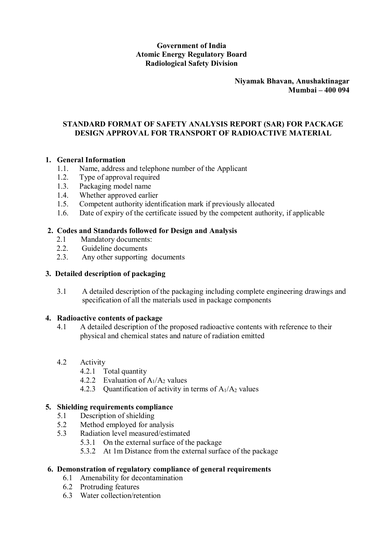## **Government of India Atomic Energy Regulatory Board Radiological Safety Division**

#### **Niyamak Bhavan, Anushaktinagar Mumbai – 400 094**

### **STANDARD FORMAT OF SAFETY ANALYSIS REPORT (SAR) FOR PACKAGE DESIGN APPROVAL FOR TRANSPORT OF RADIOACTIVE MATERIAL**

### **1. General Information**

- 1.1. Name, address and telephone number of the Applicant
- 1.2. Type of approval required
- 1.3. Packaging model name
- 1.4. Whether approved earlier
- 1.5. Competent authority identification mark if previously allocated
- 1.6. Date of expiry of the certificate issued by the competent authority, if applicable

### **2. Codes and Standards followed for Design and Analysis**

- 2.1 Mandatory documents:
- 2.2. Guideline documents
- 2.3. Any other supporting documents

### **3. Detailed description of packaging**

3.1 A detailed description of the packaging including complete engineering drawings and specification of all the materials used in package components

#### **4. Radioactive contents of package**

- 4.1 A detailed description of the proposed radioactive contents with reference to their physical and chemical states and nature of radiation emitted
- 4.2 Activity
	- 4.2.1 Total quantity
	- 4.2.2 Evaluation of  $A_1/A_2$  values
	- 4.2.3 Quantification of activity in terms of  $A_1/A_2$  values

### **5. Shielding requirements compliance**

- 5.1 Description of shielding
- 5.2 Method employed for analysis
- 5.3 Radiation level measured/estimated
	- 5.3.1 On the external surface of the package
	- 5.3.2 At 1m Distance from the external surface of the package

# **6. Demonstration of regulatory compliance of general requirements**

- 6.1 Amenability for decontamination
- 6.2 Protruding features
- 6.3 Water collection/retention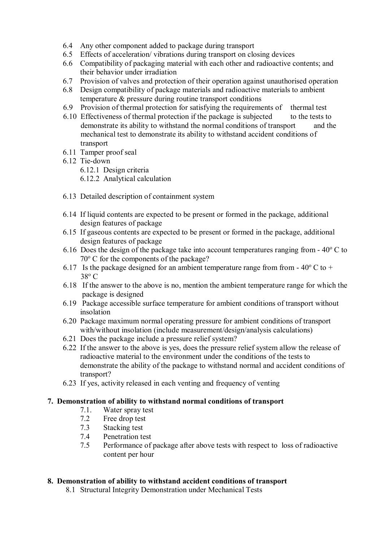- 6.4 Any other component added to package during transport
- 6.5 Effects of acceleration/ vibrations during transport on closing devices
- 6.6 Compatibility of packaging material with each other and radioactive contents; and their behavior under irradiation
- 6.7 Provision of valves and protection of their operation against unauthorised operation
- 6.8 Design compatibility of package materials and radioactive materials to ambient temperature & pressure during routine transport conditions
- 6.9 Provision of thermal protection for satisfying the requirements of thermal test
- 6.10 Effectiveness of thermal protection if the package is subjected to the tests to demonstrate its ability to withstand the normal conditions of transport and the mechanical test to demonstrate its ability to withstand accident conditions of transport
- 6.11 Tamper proof seal
- 6.12 Tie-down
	- 6.12.1 Design criteria
	- 6.12.2 Analytical calculation
- 6.13 Detailed description of containment system
- 6.14 If liquid contents are expected to be present or formed in the package, additional design features of package
- 6.15 If gaseous contents are expected to be present or formed in the package, additional design features of package
- 6.16 Does the design of the package take into account temperatures ranging from  $-40^{\circ}$  C to  $70^{\circ}$  C for the components of the package?
- 6.17 Is the package designed for an ambient temperature range from from  $-40^{\circ}$  C to  $+$  $38^{\circ}$  C
- 6.18 If the answer to the above is no, mention the ambient temperature range for which the package is designed
- 6.19 Package accessible surface temperature for ambient conditions of transport without insolation
- 6.20 Package maximum normal operating pressure for ambient conditions of transport with/without insolation (include measurement/design/analysis calculations)
- 6.21 Does the package include a pressure relief system?
- 6.22 If the answer to the above is yes, does the pressure relief system allow the release of radioactive material to the environment under the conditions of the tests to demonstrate the ability of the package to withstand normal and accident conditions of transport?
- 6.23 If yes, activity released in each venting and frequency of venting

#### **7. Demonstration of ability to withstand normal conditions of transport**

- 7.1. Water spray test
- 7.2 Free drop test
- 7.3 Stacking test
- 7.4 Penetration test
- 7.5 Performance of package after above tests with respect to loss of radioactive content per hour

#### **8. Demonstration of ability to withstand accident conditions of transport**

8.1 Structural Integrity Demonstration under Mechanical Tests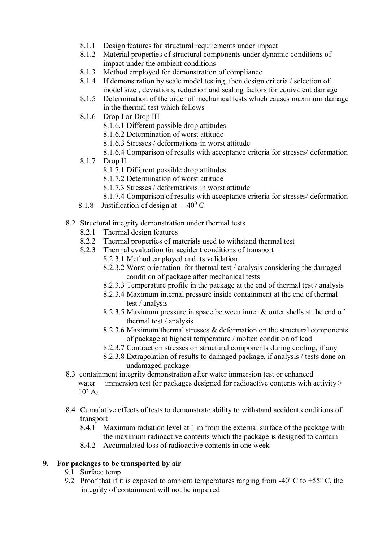- 8.1.1 Design features for structural requirements under impact
- 8.1.2 Material properties of structural components under dynamic conditions of impact under the ambient conditions
- 8.1.3 Method employed for demonstration of compliance
- 8.1.4 If demonstration by scale model testing, then design criteria / selection of model size, deviations, reduction and scaling factors for equivalent damage
- 8.1.5 Determination of the order of mechanical tests which causes maximum damage in the thermal test which follows
- 8.1.6 Drop I or Drop III
	- 8.1.6.1 Different possible drop attitudes
	- 8.1.6.2 Determination of worst attitude
	- 8.1.6.3 Stresses / deformations in worst attitude
	- 8.1.6.4 Comparison of results with acceptance criteria for stresses/ deformation
- 8.1.7 Drop II
	- 8.1.7.1 Different possible drop attitudes
	- 8.1.7.2 Determination of worst attitude
	- 8.1.7.3 Stresses / deformations in worst attitude
	- 8.1.7.4 Comparison of results with acceptance criteria for stresses/ deformation
- 8.1.8 Justification of design at  $-40^{\circ}$  C
- 8.2 Structural integrity demonstration under thermal tests
	- 8.2.1 Thermal design features
	- 8.2.2 Thermal properties of materials used to withstand thermal test
	- 8.2.3 Thermal evaluation for accident conditions of transport
		- 8.2.3.1 Method employed and its validation
		- 8.2.3.2 Worst orientation for thermal test / analysis considering the damaged condition of package after mechanical tests
		- 8.2.3.3 Temperature profile in the package at the end of thermal test / analysis
		- 8.2.3.4 Maximum internal pressure inside containment at the end of thermal test / analysis
		- 8.2.3.5 Maximum pressure in space between inner & outer shells at the end of thermal test / analysis
		- 8.2.3.6 Maximum thermal stresses & deformation on the structural components of package at highest temperature / molten condition of lead
		- 8.2.3.7 Contraction stresses on structural components during cooling, if any
		- 8.2.3.8 Extrapolation of results to damaged package, if analysis / tests done on undamaged package
- 8.3 containment integrity demonstration after water immersion test or enhanced water immersion test for packages designed for radioactive contents with activity >  $10^5$  A<sub>2</sub>
- 8.4 Cumulative effects of tests to demonstrate ability to withstand accident conditions of transport
	- 8.4.1 Maximum radiation level at 1 m from the external surface of the package with the maximum radioactive contents which the package is designed to contain
	- 8.4.2 Accumulated loss of radioactive contents in one week

## **9. For packages to be transported by air**

- 9.1 Surface temp
- 9.2 Proof that if it is exposed to ambient temperatures ranging from -40 $\degree$ C to +55 $\degree$ C, the integrity of containment will not be impaired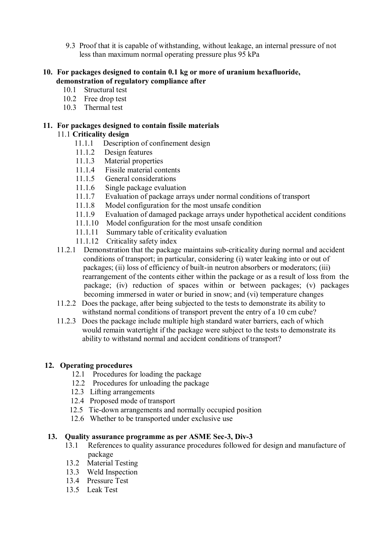9.3 Proof that it is capable of withstanding, without leakage, an internal pressure of not less than maximum normal operating pressure plus 95 kPa

## **10. For packages designed to contain 0.1 kg or more of uranium hexafluoride, demonstration of regulatory compliance after**

- 10.1 Structural test
- 10.2 Free drop test
- 10.3 Thermal test

# **11. For packages designed to contain fissile materials**

# 11.1 **Criticality design**

- 11.1.1 Description of confinement design
- 11.1.2 Design features
- 11.1.3 Material properties
- 11.1.4 Fissile material contents
- 11.1.5 General considerations
- 11.1.6 Single package evaluation
- 11.1.7 Evaluation of package arrays under normal conditions of transport
- 11.1.8 Model configuration for the most unsafe condition
- 11.1.9 Evaluation of damaged package arrays under hypothetical accident conditions
- 11.1.10 Model configuration for the most unsafe condition
- 11.1.11 Summary table of criticality evaluation
- 11.1.12 Criticality safety index
- 11.2.1 Demonstration that the package maintains sub-criticality during normal and accident conditions of transport; in particular, considering (i) water leaking into or out of packages; (ii) loss of efficiency of built-in neutron absorbers or moderators; (iii) rearrangement of the contents either within the package or as a result of loss from the package; (iv) reduction of spaces within or between packages; (v) packages becoming immersed in water or buried in snow; and (vi) temperature changes
- 11.2.2 Does the package, after being subjected to the tests to demonstrate its ability to withstand normal conditions of transport prevent the entry of a 10 cm cube?
- 11.2.3 Does the package include multiple high standard water barriers, each of which would remain watertight if the package were subject to the tests to demonstrate its ability to withstand normal and accident conditions of transport?

## **12. Operating procedures**

- 12.1 Procedures for loading the package
- 12.2 Procedures for unloading the package
- 12.3 Lifting arrangements
- 12.4 Proposed mode of transport
- 12.5 Tie-down arrangements and normally occupied position
- 12.6 Whether to be transported under exclusive use

## **13. Quality assurance programme as per ASME Sec-3, Div-3**

- 13.1 References to quality assurance procedures followed for design and manufacture of package
- 13.2 Material Testing
- 13.3 Weld Inspection
- 13.4 Pressure Test
- 13.5 Leak Test